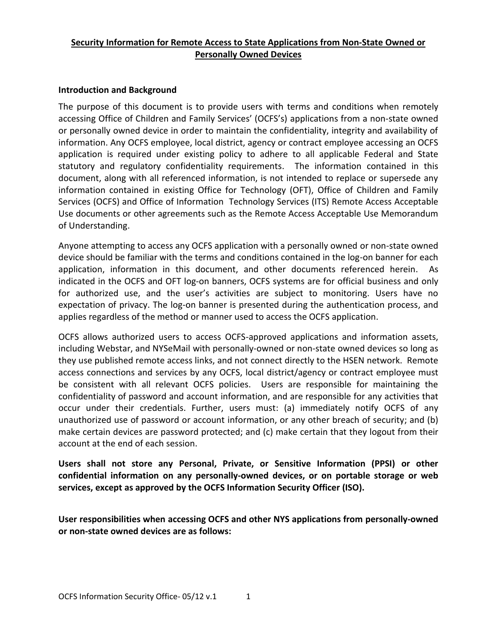## **Security Information for Remote Access to State Applications from Non-State Owned or Personally Owned Devices**

## **Introduction and Background**

The purpose of this document is to provide users with terms and conditions when remotely accessing Office of Children and Family Services' (OCFS's) applications from a non-state owned or personally owned device in order to maintain the confidentiality, integrity and availability of information. Any OCFS employee, local district, agency or contract employee accessing an OCFS application is required under existing policy to adhere to all applicable Federal and State statutory and regulatory confidentiality requirements. The information contained in this document, along with all referenced information, is not intended to replace or supersede any information contained in existing Office for Technology (OFT), Office of Children and Family Services (OCFS) and Office of Information Technology Services (ITS) Remote Access Acceptable Use documents or other agreements such as the Remote Access Acceptable Use Memorandum of Understanding.

Anyone attempting to access any OCFS application with a personally owned or non-state owned device should be familiar with the terms and conditions contained in the log-on banner for each application, information in this document, and other documents referenced herein. As indicated in the OCFS and OFT log-on banners, OCFS systems are for official business and only for authorized use, and the user's activities are subject to monitoring. Users have no expectation of privacy. The log-on banner is presented during the authentication process, and applies regardless of the method or manner used to access the OCFS application.

OCFS allows authorized users to access OCFS-approved applications and information assets, including Webstar, and NYSeMail with personally-owned or non-state owned devices so long as they use published remote access links, and not connect directly to the HSEN network. Remote access connections and services by any OCFS, local district/agency or contract employee must be consistent with all relevant OCFS policies. Users are responsible for maintaining the confidentiality of password and account information, and are responsible for any activities that occur under their credentials. Further, users must: (a) immediately notify OCFS of any unauthorized use of password or account information, or any other breach of security; and (b) make certain devices are password protected; and (c) make certain that they logout from their account at the end of each session.

**Users shall not store any Personal, Private, or Sensitive Information (PPSI) or other confidential information on any personally-owned devices, or on portable storage or web services, except as approved by the OCFS Information Security Officer (ISO).** 

**User responsibilities when accessing OCFS and other NYS applications from personally-owned or non-state owned devices are as follows:**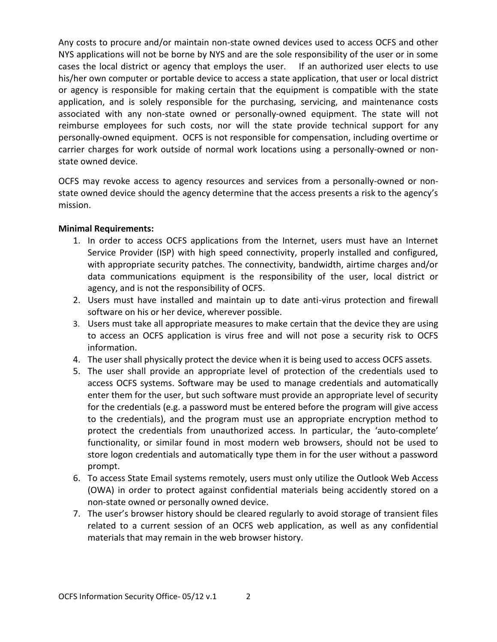Any costs to procure and/or maintain non-state owned devices used to access OCFS and other NYS applications will not be borne by NYS and are the sole responsibility of the user or in some cases the local district or agency that employs the user. If an authorized user elects to use his/her own computer or portable device to access a state application, that user or local district or agency is responsible for making certain that the equipment is compatible with the state application, and is solely responsible for the purchasing, servicing, and maintenance costs associated with any non-state owned or personally-owned equipment. The state will not reimburse employees for such costs, nor will the state provide technical support for any personally-owned equipment. OCFS is not responsible for compensation, including overtime or carrier charges for work outside of normal work locations using a personally-owned or nonstate owned device.

OCFS may revoke access to agency resources and services from a personally-owned or nonstate owned device should the agency determine that the access presents a risk to the agency's mission.

## **Minimal Requirements:**

- 1. In order to access OCFS applications from the Internet, users must have an Internet Service Provider (ISP) with high speed connectivity, properly installed and configured, with appropriate security patches. The connectivity, bandwidth, airtime charges and/or data communications equipment is the responsibility of the user, local district or agency, and is not the responsibility of OCFS.
- 2. Users must have installed and maintain up to date anti-virus protection and firewall software on his or her device, wherever possible.
- 3. Users must take all appropriate measures to make certain that the device they are using to access an OCFS application is virus free and will not pose a security risk to OCFS information.
- 4. The user shall physically protect the device when it is being used to access OCFS assets.
- 5. The user shall provide an appropriate level of protection of the credentials used to access OCFS systems. Software may be used to manage credentials and automatically enter them for the user, but such software must provide an appropriate level of security for the credentials (e.g. a password must be entered before the program will give access to the credentials), and the program must use an appropriate encryption method to protect the credentials from unauthorized access. In particular, the 'auto-complete' functionality, or similar found in most modern web browsers, should not be used to store logon credentials and automatically type them in for the user without a password prompt.
- 6. To access State Email systems remotely, users must only utilize the Outlook Web Access (OWA) in order to protect against confidential materials being accidently stored on a non-state owned or personally owned device.
- 7. The user's browser history should be cleared regularly to avoid storage of transient files related to a current session of an OCFS web application, as well as any confidential materials that may remain in the web browser history.